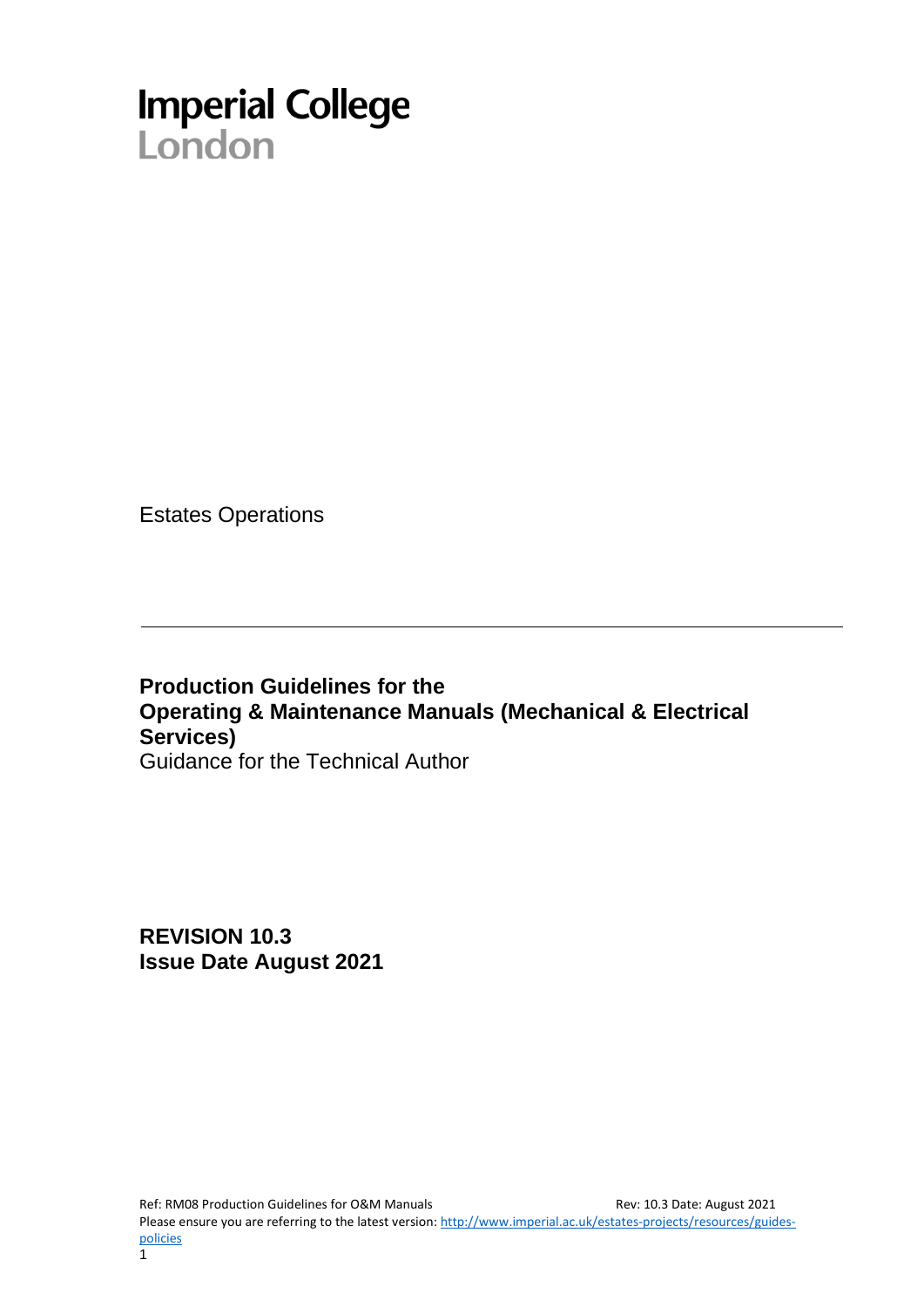# **Imperial College**<br>London

Estates Operations

**Production Guidelines for the Operating & Maintenance Manuals (Mechanical & Electrical Services)** Guidance for the Technical Author

**REVISION 10.3 Issue Date August 2021**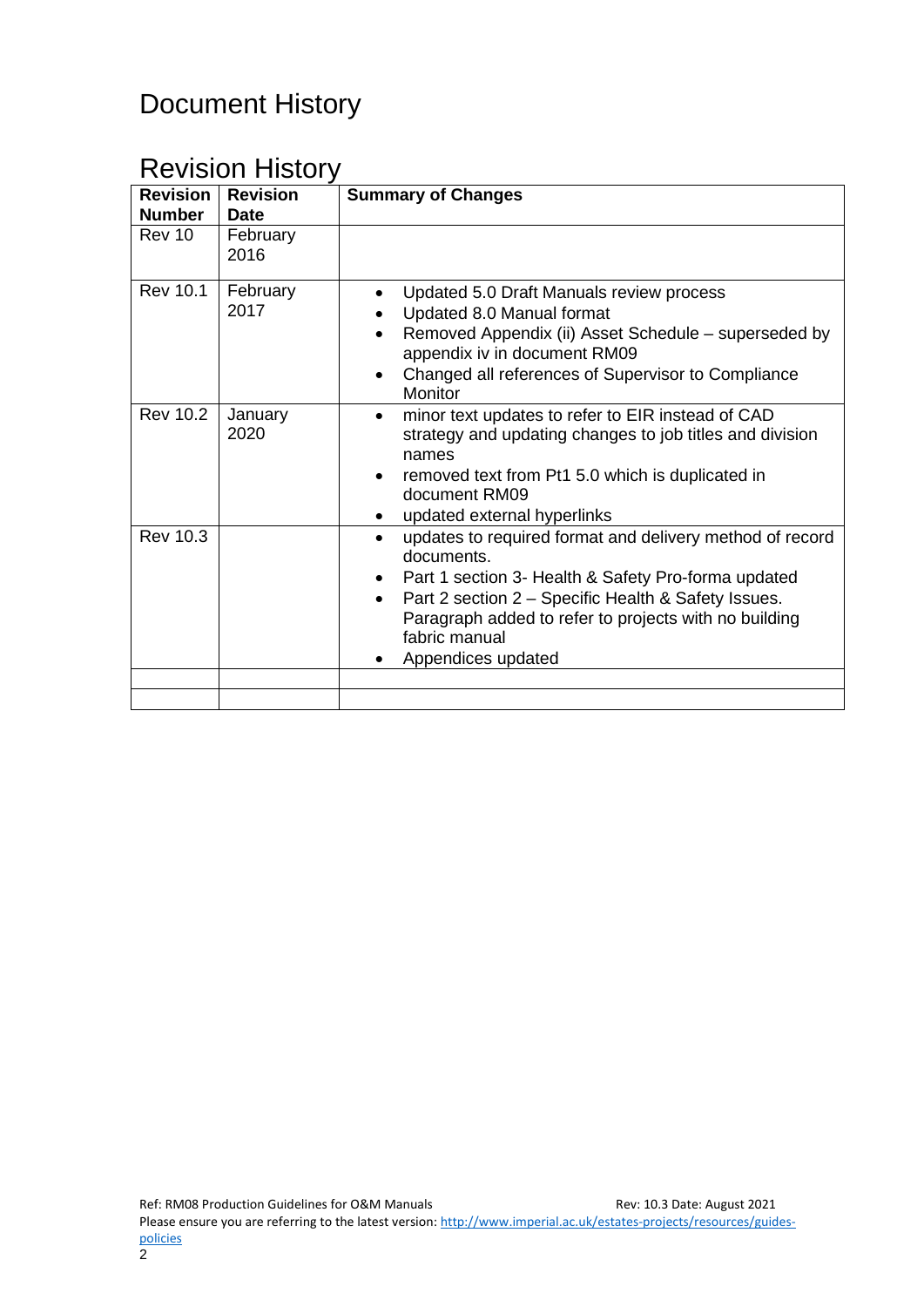# Document History

# Revision History

| <b>Revision</b><br><b>Number</b> | <b>Revision</b><br><b>Date</b> | <b>Summary of Changes</b>                                                                                                                                                                                                                                                                         |
|----------------------------------|--------------------------------|---------------------------------------------------------------------------------------------------------------------------------------------------------------------------------------------------------------------------------------------------------------------------------------------------|
| Rev 10                           | February<br>2016               |                                                                                                                                                                                                                                                                                                   |
| <b>Rev 10.1</b>                  | February<br>2017               | Updated 5.0 Draft Manuals review process<br>Updated 8.0 Manual format<br>Removed Appendix (ii) Asset Schedule – superseded by<br>$\bullet$<br>appendix iv in document RM09<br>Changed all references of Supervisor to Compliance<br>$\bullet$<br>Monitor                                          |
| <b>Rev 10.2</b>                  | January<br>2020                | minor text updates to refer to EIR instead of CAD<br>$\bullet$<br>strategy and updating changes to job titles and division<br>names<br>removed text from Pt1 5.0 which is duplicated in<br>$\bullet$<br>document RM09<br>updated external hyperlinks<br>$\bullet$                                 |
| <b>Rev 10.3</b>                  |                                | updates to required format and delivery method of record<br>$\bullet$<br>documents.<br>Part 1 section 3- Health & Safety Pro-forma updated<br>Part 2 section 2 – Specific Health & Safety Issues.<br>Paragraph added to refer to projects with no building<br>fabric manual<br>Appendices updated |
|                                  |                                |                                                                                                                                                                                                                                                                                                   |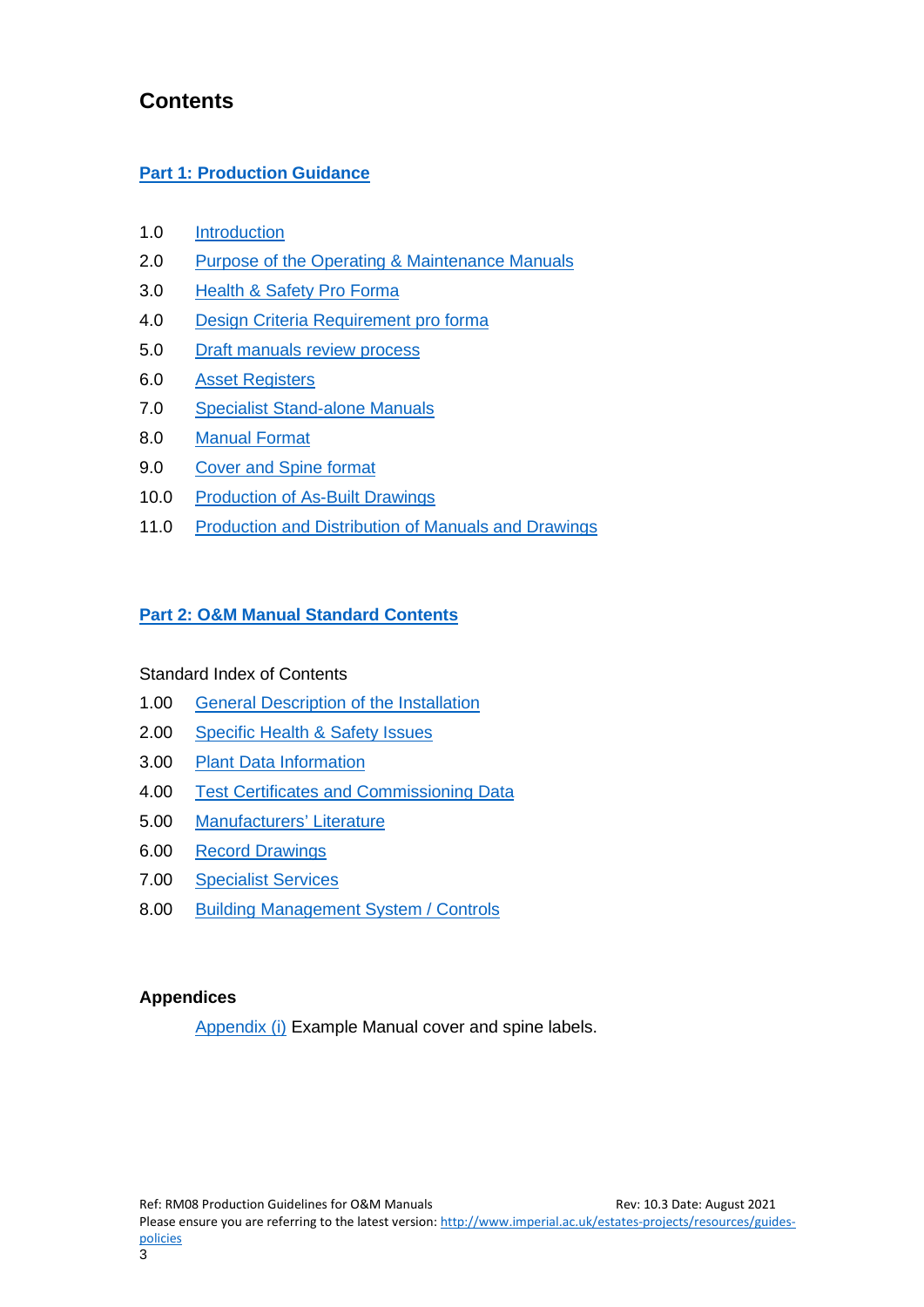## **Contents**

#### **[Part 1: Production Guidance](#page-2-0)**

- 1.0 [Introduction](#page-3-0)
- 2.0 [Purpose of the Operating & Maintenance](#page-3-1) Manuals
- 3.0 [Health & Safety Pro Forma](#page-4-0)
- 4.0 [Design Criteria Requirement pro forma](#page-5-0)
- 5.0 [Draft manuals review process](#page-6-0)
- 6.0 [Asset Registers](#page-6-1)
- 7.0 [Specialist Stand-alone Manuals](#page-6-2)
- 8.0 [Manual Format](#page-6-3)
- 9.0 [Cover and Spine format](#page-8-0)
- 10.0 [Production of As-Built Drawings](#page-8-1)
- 11.0 [Production and Distribution of Manuals and Drawings](#page-9-0)

#### **Part 2: O&M [Manual Standard Contents](#page-10-0)**

#### Standard Index of Contents

- 1.00 [General Description of the Installation](#page-11-0)
- 2.00 [Specific Health & Safety Issues](#page-11-1)
- 3.00 [Plant Data Information](#page-11-2)
- 4.00 [Test Certificates and Commissioning Data](#page-12-0)
- 5.00 [Manufacturers' Literature](#page-12-1)
- 6.00 [Record Drawings](#page-12-2)
- 7.00 [Specialist Services](#page-12-3)
- 8.00 [Building Management System /](#page-12-4) Controls

#### **Appendices**

<span id="page-2-0"></span>[Appendix \(i\)](#page-14-0) Example Manual cover and spine labels.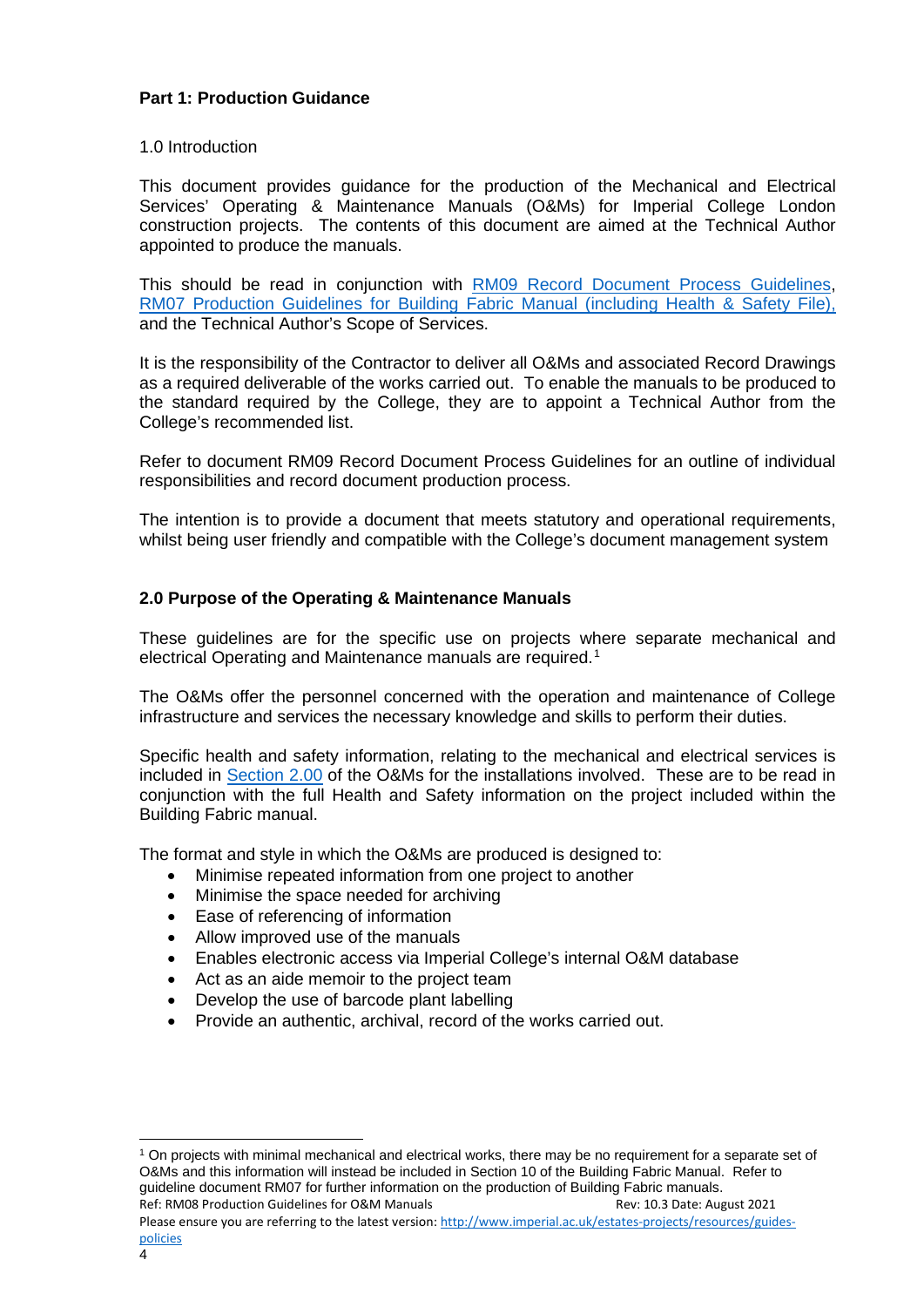#### **Part 1: Production Guidance**

#### <span id="page-3-0"></span>1.0 Introduction

This document provides guidance for the production of the Mechanical and Electrical Services' Operating & Maintenance Manuals (O&Ms) for Imperial College London construction projects. The contents of this document are aimed at the Technical Author appointed to produce the manuals.

This should be read in conjunction with [RM09 Record Document Process Guidelines,](https://www.imperial.ac.uk/media/imperial-college/administration-and-support-services/estates-projects/public/resources/guides/rm09recorddocs.pdf) [RM07 Production Guidelines for Building Fabric Manual \(including Health & Safety File\),](https://www.imperial.ac.uk/media/imperial-college/administration-and-support-services/estates-projects/public/resources/guides/rm07bfmguide.pdf) and the Technical Author's Scope of Services.

It is the responsibility of the Contractor to deliver all O&Ms and associated Record Drawings as a required deliverable of the works carried out. To enable the manuals to be produced to the standard required by the College, they are to appoint a Technical Author from the College's recommended list.

Refer to document RM09 Record Document Process Guidelines for an outline of individual responsibilities and record document production process.

The intention is to provide a document that meets statutory and operational requirements, whilst being user friendly and compatible with the College's document management system

#### <span id="page-3-1"></span>**2.0 Purpose of the Operating & Maintenance Manuals**

These guidelines are for the specific use on projects where separate mechanical and electrical Operating and Maintenance manuals are required.<sup>[1](#page-3-2)</sup>

The O&Ms offer the personnel concerned with the operation and maintenance of College infrastructure and services the necessary knowledge and skills to perform their duties.

Specific health and safety information, relating to the mechanical and electrical services is included in [Section 2.00](#page-11-1) of the O&Ms for the installations involved. These are to be read in conjunction with the full Health and Safety information on the project included within the Building Fabric manual.

The format and style in which the O&Ms are produced is designed to:

- Minimise repeated information from one project to another
- Minimise the space needed for archiving
- Ease of referencing of information
- Allow improved use of the manuals
- Enables electronic access via Imperial College's internal O&M database
- Act as an aide memoir to the project team
- Develop the use of barcode plant labelling
- Provide an authentic, archival, record of the works carried out.

<span id="page-3-2"></span>Ref: RM08 Production Guidelines for O&M Manuals Rev: 10.3 Date: August 2021 <sup>1</sup> On projects with minimal mechanical and electrical works, there may be no requirement for a separate set of O&Ms and this information will instead be included in Section 10 of the Building Fabric Manual. Refer to guideline document RM07 for further information on the production of Building Fabric manuals.

Please ensure you are referring to the latest version: [http://www.imperial.ac.uk/estates-projects/resources/guides](http://www.imperial.ac.uk/estates-projects/resources/guides-policies)[policies](http://www.imperial.ac.uk/estates-projects/resources/guides-policies)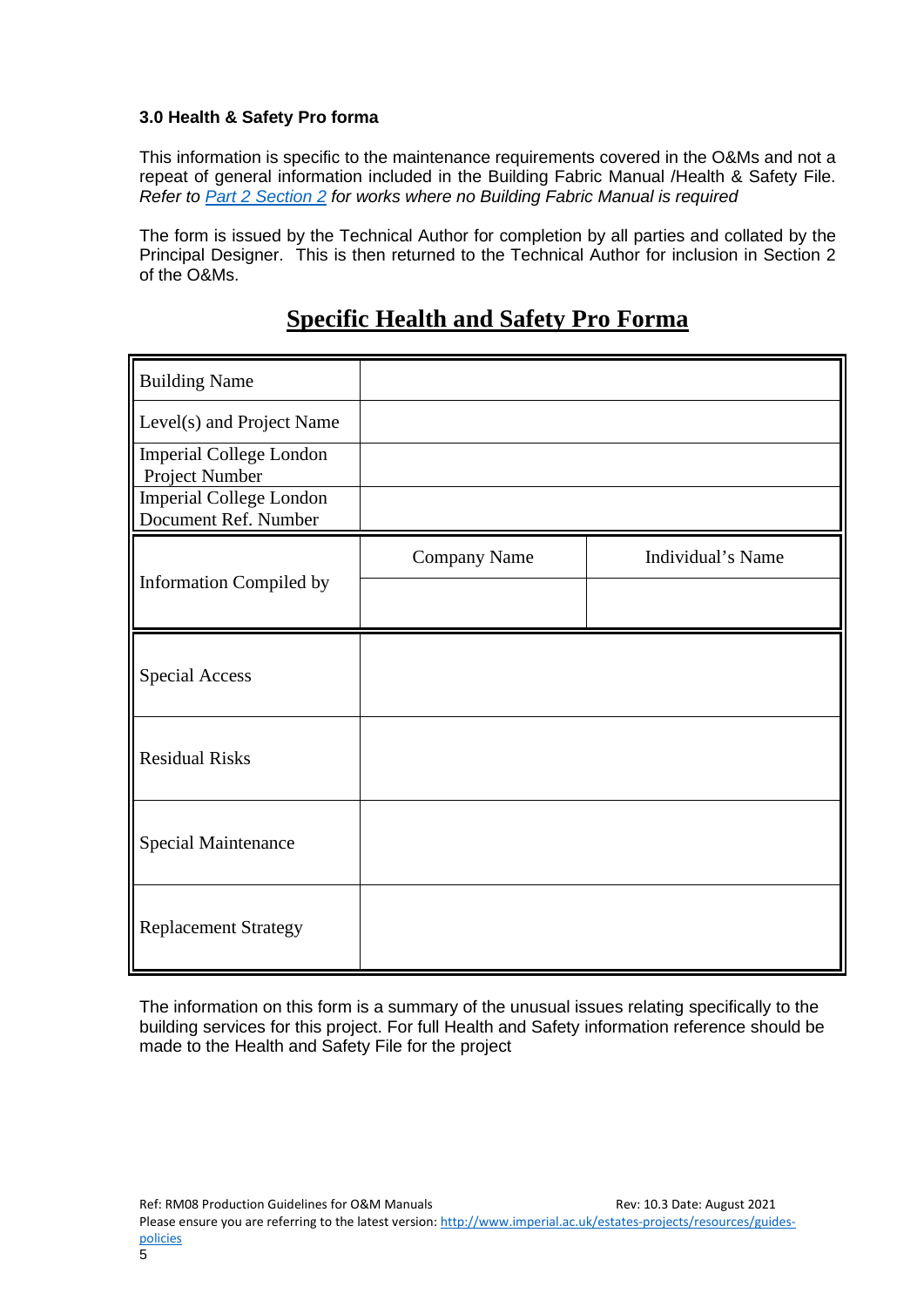#### <span id="page-4-0"></span>**3.0 Health & Safety Pro forma**

This information is specific to the maintenance requirements covered in the O&Ms and not a repeat of general information included in the Building Fabric Manual /Health & Safety File. *Refer to [Part 2 Section 2](#page-11-1) for works where no Building Fabric Manual is required*

The form is issued by the Technical Author for completion by all parties and collated by the Principal Designer. This is then returned to the Technical Author for inclusion in Section 2 of the O&Ms.

# **Specific Health and Safety Pro Forma**

| <b>Building Name</b>                                   |              |                   |
|--------------------------------------------------------|--------------|-------------------|
| Level(s) and Project Name                              |              |                   |
| <b>Imperial College London</b><br>Project Number       |              |                   |
| <b>Imperial College London</b><br>Document Ref. Number |              |                   |
|                                                        | Company Name | Individual's Name |
| <b>Information Compiled by</b>                         |              |                   |
| <b>Special Access</b>                                  |              |                   |
| <b>Residual Risks</b>                                  |              |                   |
| Special Maintenance                                    |              |                   |
| <b>Replacement Strategy</b>                            |              |                   |

The information on this form is a summary of the unusual issues relating specifically to the building services for this project. For full Health and Safety information reference should be made to the Health and Safety File for the project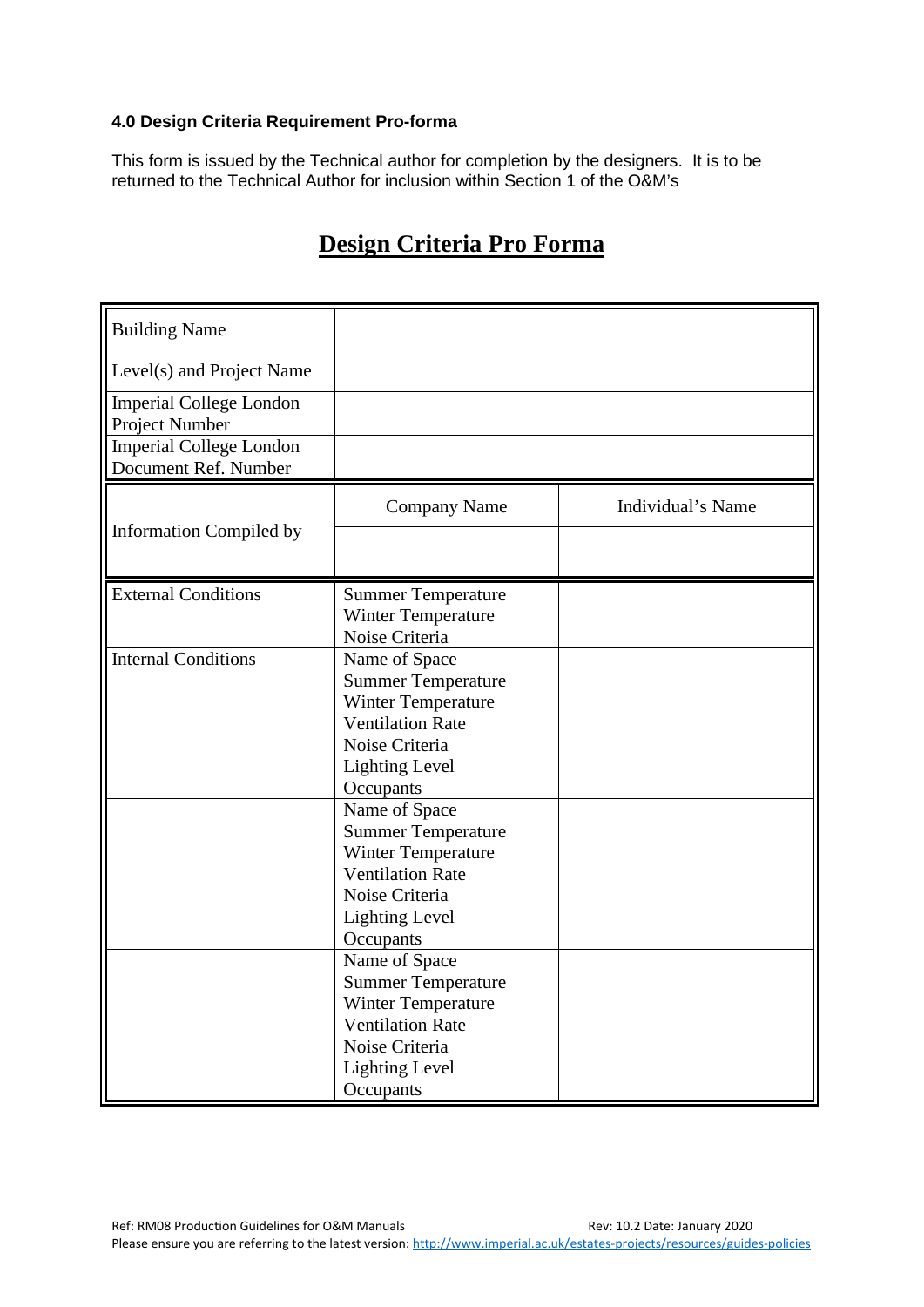#### <span id="page-5-0"></span>**4.0 Design Criteria Requirement Pro-forma**

This form is issued by the Technical author for completion by the designers. It is to be returned to the Technical Author for inclusion within Section 1 of the O&M's

| <b>Building Name</b>                                   |                                                                                                                                                            |                   |
|--------------------------------------------------------|------------------------------------------------------------------------------------------------------------------------------------------------------------|-------------------|
| Level(s) and Project Name                              |                                                                                                                                                            |                   |
| <b>Imperial College London</b><br>Project Number       |                                                                                                                                                            |                   |
| <b>Imperial College London</b><br>Document Ref. Number |                                                                                                                                                            |                   |
|                                                        | <b>Company Name</b>                                                                                                                                        | Individual's Name |
| <b>Information Compiled by</b>                         |                                                                                                                                                            |                   |
| <b>External Conditions</b>                             | <b>Summer Temperature</b><br><b>Winter Temperature</b><br>Noise Criteria                                                                                   |                   |
| <b>Internal Conditions</b>                             | Name of Space<br><b>Summer Temperature</b><br><b>Winter Temperature</b><br><b>Ventilation Rate</b><br>Noise Criteria<br><b>Lighting Level</b><br>Occupants |                   |
|                                                        | Name of Space<br><b>Summer Temperature</b><br>Winter Temperature<br><b>Ventilation Rate</b><br>Noise Criteria<br><b>Lighting Level</b><br>Occupants        |                   |
|                                                        | Name of Space<br><b>Summer Temperature</b><br>Winter Temperature<br><b>Ventilation Rate</b><br>Noise Criteria<br><b>Lighting Level</b><br>Occupants        |                   |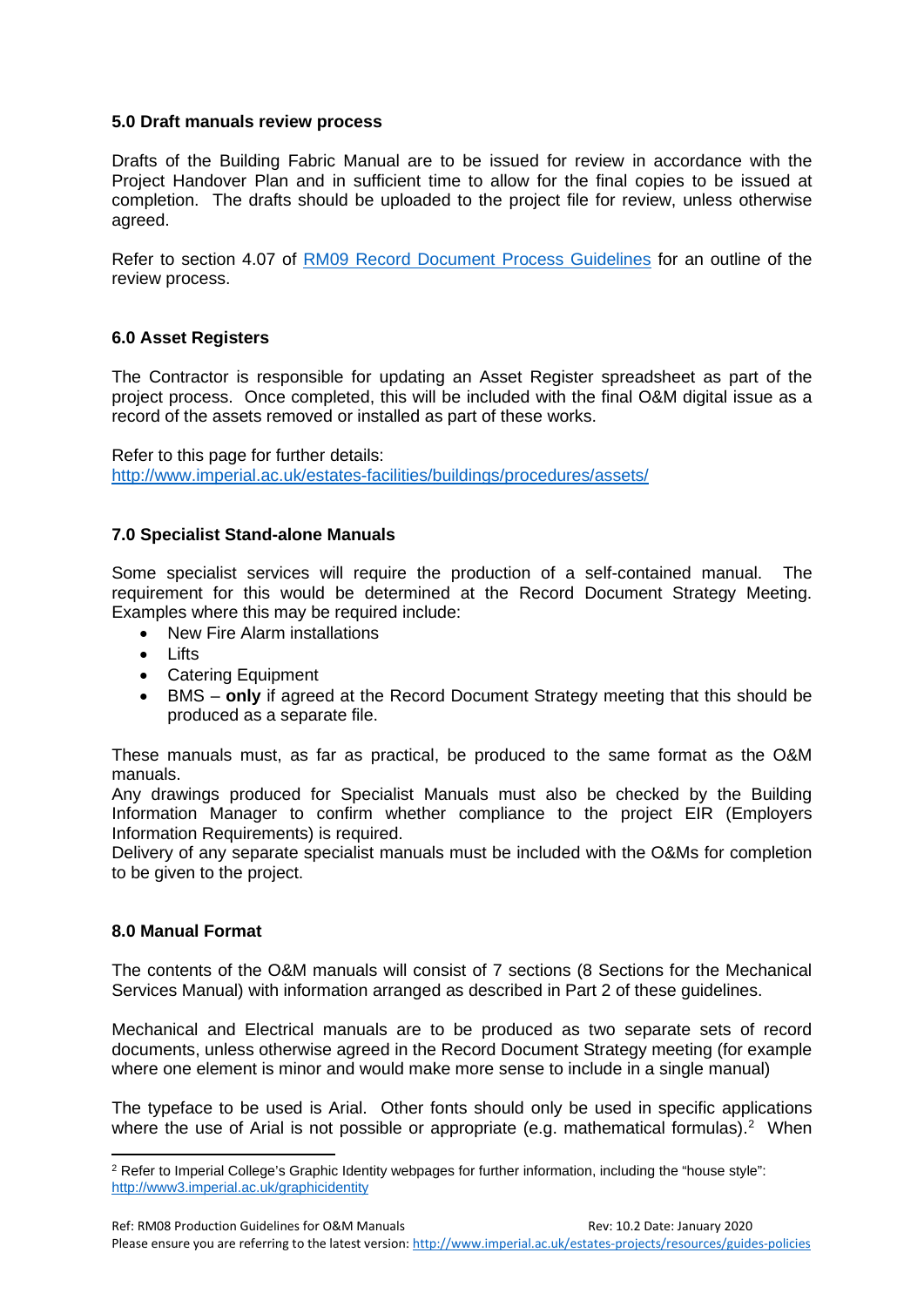#### <span id="page-6-0"></span>**5.0 Draft manuals review process**

Drafts of the Building Fabric Manual are to be issued for review in accordance with the Project Handover Plan and in sufficient time to allow for the final copies to be issued at completion. The drafts should be uploaded to the project file for review, unless otherwise agreed.

Refer to section 4.07 of [RM09 Record Document Process Guidelines](https://www.imperial.ac.uk/media/imperial-college/administration-and-support-services/estates-projects/public/resources/guides/rm09recorddocs.pdf) for an outline of the review process.

#### <span id="page-6-1"></span>**6.0 Asset Registers**

The Contractor is responsible for updating an Asset Register spreadsheet as part of the project process. Once completed, this will be included with the final O&M digital issue as a record of the assets removed or installed as part of these works.

Refer to this page for further details: <http://www.imperial.ac.uk/estates-facilities/buildings/procedures/assets/>

#### <span id="page-6-2"></span>**7.0 Specialist Stand-alone Manuals**

Some specialist services will require the production of a self-contained manual. The requirement for this would be determined at the Record Document Strategy Meeting. Examples where this may be required include:

- New Fire Alarm installations
- Lifts
- Catering Equipment
- BMS **only** if agreed at the Record Document Strategy meeting that this should be produced as a separate file.

These manuals must, as far as practical, be produced to the same format as the O&M manuals.

Any drawings produced for Specialist Manuals must also be checked by the Building Information Manager to confirm whether compliance to the project EIR (Employers Information Requirements) is required.

Delivery of any separate specialist manuals must be included with the O&Ms for completion to be given to the project.

#### <span id="page-6-3"></span>**8.0 Manual Format**

The contents of the O&M manuals will consist of 7 sections (8 Sections for the Mechanical Services Manual) with information arranged as described in Part 2 of these guidelines.

Mechanical and Electrical manuals are to be produced as two separate sets of record documents, unless otherwise agreed in the Record Document Strategy meeting (for example where one element is minor and would make more sense to include in a single manual)

The typeface to be used is Arial. Other fonts should only be used in specific applications where the use of Arial is not possible or appropriate (e.g. mathematical formulas).<sup>[2](#page-6-4)</sup> When

<span id="page-6-4"></span><sup>&</sup>lt;sup>2</sup> Refer to Imperial College's Graphic Identity webpages for further information, including the "house style": <http://www3.imperial.ac.uk/graphicidentity>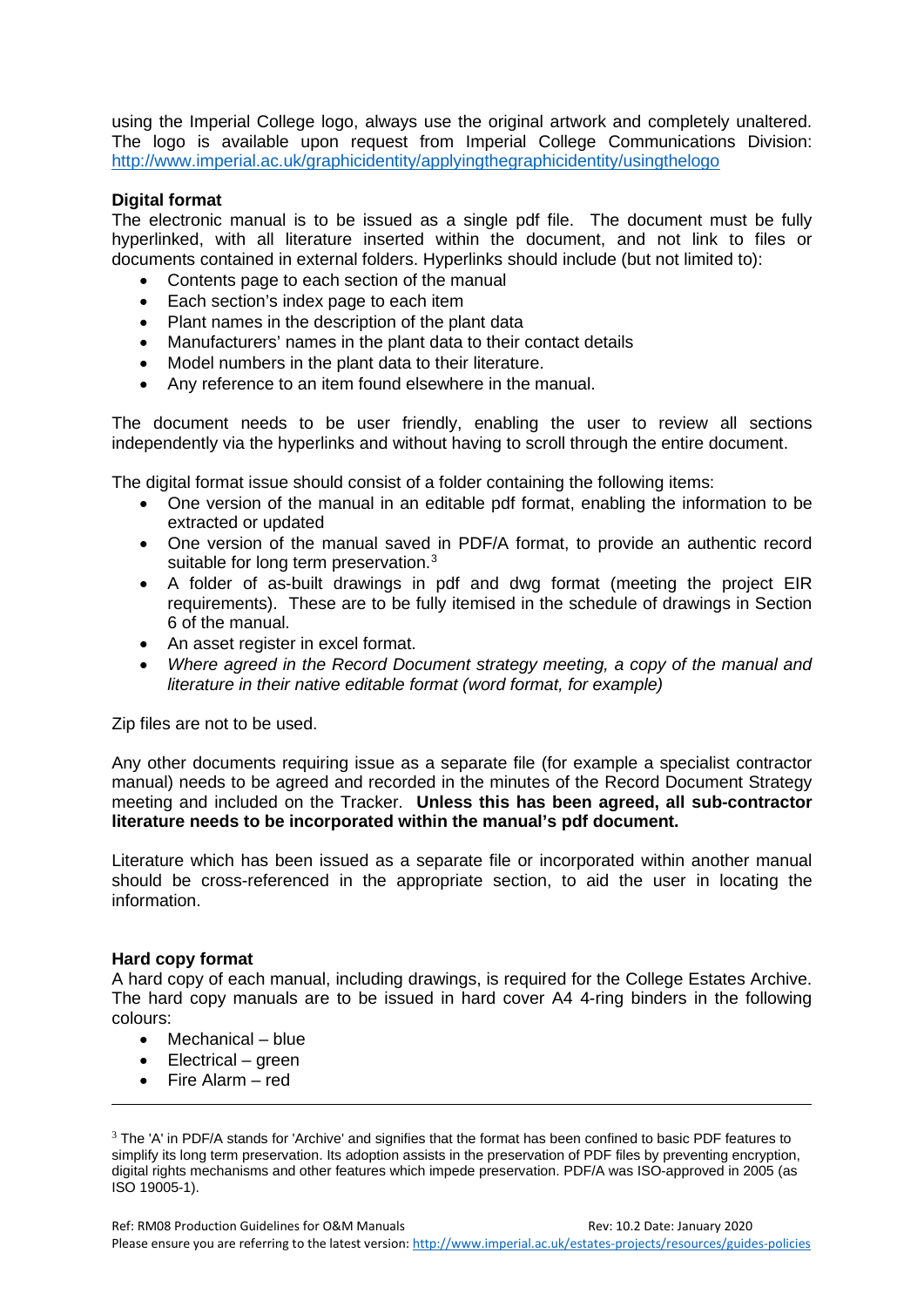using the Imperial College logo, always use the original artwork and completely unaltered. The logo is available upon request from Imperial College Communications Division: <http://www.imperial.ac.uk/graphicidentity/applyingthegraphicidentity/usingthelogo>

#### **Digital format**

The electronic manual is to be issued as a single pdf file. The document must be fully hyperlinked, with all literature inserted within the document, and not link to files or documents contained in external folders. Hyperlinks should include (but not limited to):

- Contents page to each section of the manual
- Each section's index page to each item
- Plant names in the description of the plant data
- Manufacturers' names in the plant data to their contact details
- Model numbers in the plant data to their literature.
- Any reference to an item found elsewhere in the manual.

The document needs to be user friendly, enabling the user to review all sections independently via the hyperlinks and without having to scroll through the entire document.

The digital format issue should consist of a folder containing the following items:

- One version of the manual in an editable pdf format, enabling the information to be extracted or updated
- One version of the manual saved in PDF/A format, to provide an authentic record suitable for long term preservation.<sup>[3](#page-7-0)</sup>
- A folder of as-built drawings in pdf and dwg format (meeting the project EIR requirements). These are to be fully itemised in the schedule of drawings in Section 6 of the manual.
- An asset register in excel format.
- *Where agreed in the Record Document strategy meeting, a copy of the manual and literature in their native editable format (word format, for example)*

Zip files are not to be used.

Any other documents requiring issue as a separate file (for example a specialist contractor manual) needs to be agreed and recorded in the minutes of the Record Document Strategy meeting and included on the Tracker. **Unless this has been agreed, all sub-contractor literature needs to be incorporated within the manual's pdf document.**

Literature which has been issued as a separate file or incorporated within another manual should be cross-referenced in the appropriate section, to aid the user in locating the information.

#### **Hard copy format**

A hard copy of each manual, including drawings, is required for the College Estates Archive. The hard copy manuals are to be issued in hard cover A4 4-ring binders in the following colours:

- Mechanical blue
- Electrical green
- Fire Alarm red

<span id="page-7-0"></span> $3$  The 'A' in PDF/A stands for 'Archive' and signifies that the format has been confined to basic PDF features to simplify its long term preservation. Its adoption assists in the preservation of PDF files by preventing encryption, digital rights mechanisms and other features which impede preservation. PDF/A was ISO-approved in 2005 (as ISO 19005-1).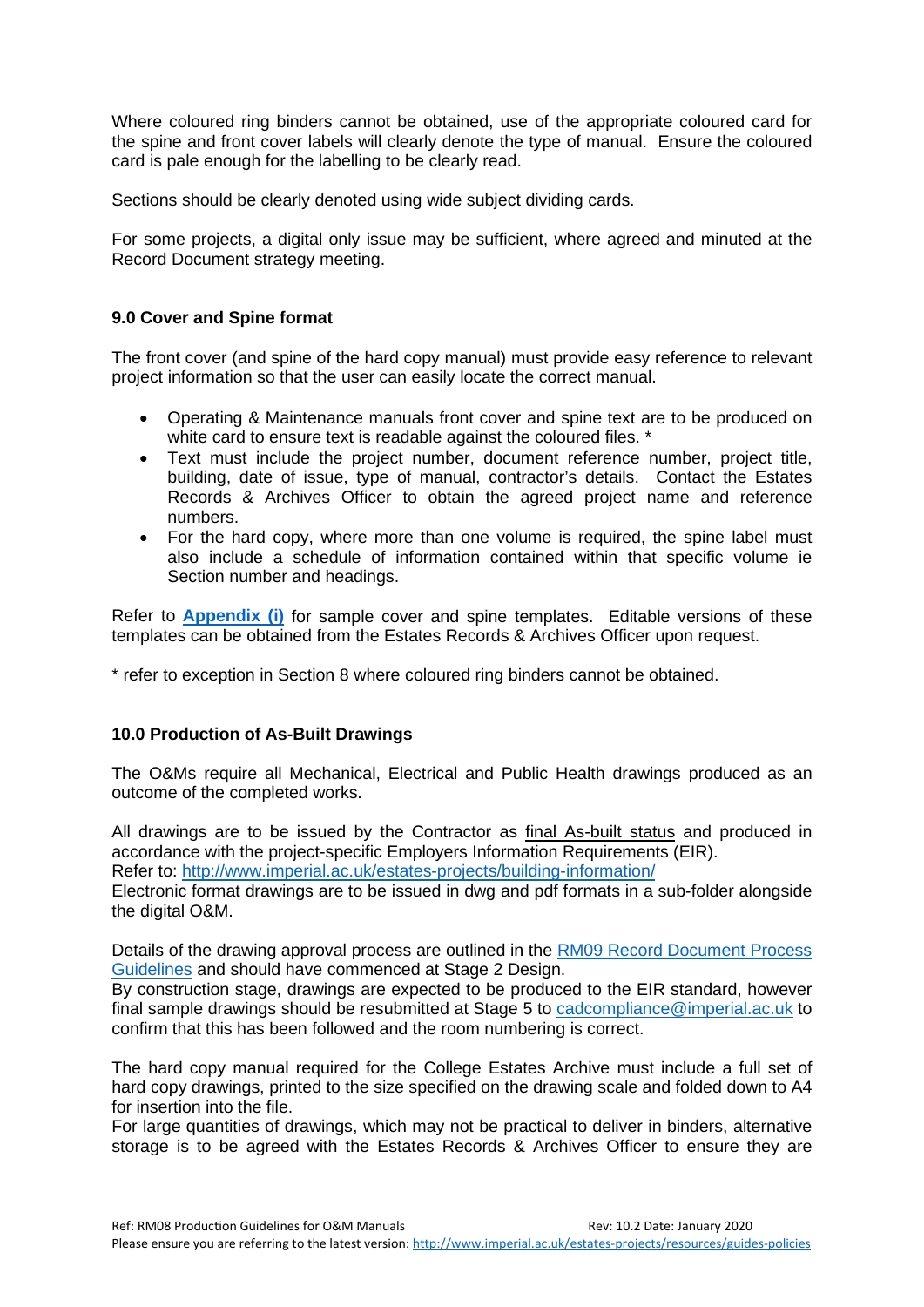Where coloured ring binders cannot be obtained, use of the appropriate coloured card for the spine and front cover labels will clearly denote the type of manual. Ensure the coloured card is pale enough for the labelling to be clearly read.

Sections should be clearly denoted using wide subject dividing cards.

For some projects, a digital only issue may be sufficient, where agreed and minuted at the Record Document strategy meeting.

#### <span id="page-8-0"></span>**9.0 Cover and Spine format**

The front cover (and spine of the hard copy manual) must provide easy reference to relevant project information so that the user can easily locate the correct manual.

- Operating & Maintenance manuals front cover and spine text are to be produced on white card to ensure text is readable against the coloured files. \*
- Text must include the project number, document reference number, project title, building, date of issue, type of manual, contractor's details. Contact the Estates Records & Archives Officer to obtain the agreed project name and reference numbers.
- For the hard copy, where more than one volume is required, the spine label must also include a schedule of information contained within that specific volume ie Section number and headings.

Refer to **[Appendix \(i\)](#page-14-0)** for sample cover and spine templates. Editable versions of these templates can be obtained from the Estates Records & Archives Officer upon request.

\* refer to exception in Section 8 where coloured ring binders cannot be obtained.

#### <span id="page-8-1"></span>**10.0 Production of As-Built Drawings**

The O&Ms require all Mechanical, Electrical and Public Health drawings produced as an outcome of the completed works.

All drawings are to be issued by the Contractor as final As-built status and produced in accordance with the project-specific Employers Information Requirements (EIR).

Refer to:<http://www.imperial.ac.uk/estates-projects/building-information/>

Electronic format drawings are to be issued in dwg and pdf formats in a sub-folder alongside the digital O&M.

Details of the drawing approval process are outlined in the [RM09 Record Document Process](https://www.imperial.ac.uk/media/imperial-college/administration-and-support-services/estates-projects/public/resources/guides/rm09recorddocs.pdf) [Guidelines](https://www.imperial.ac.uk/media/imperial-college/administration-and-support-services/estates-projects/public/resources/guides/rm09recorddocs.pdf) and should have commenced at Stage 2 Design.

By construction stage, drawings are expected to be produced to the EIR standard, however final sample drawings should be resubmitted at Stage 5 to [cadcompliance@imperial.ac.uk](mailto:cadcompliance@imperial.ac.uk) to confirm that this has been followed and the room numbering is correct.

The hard copy manual required for the College Estates Archive must include a full set of hard copy drawings, printed to the size specified on the drawing scale and folded down to A4 for insertion into the file.

For large quantities of drawings, which may not be practical to deliver in binders, alternative storage is to be agreed with the Estates Records & Archives Officer to ensure they are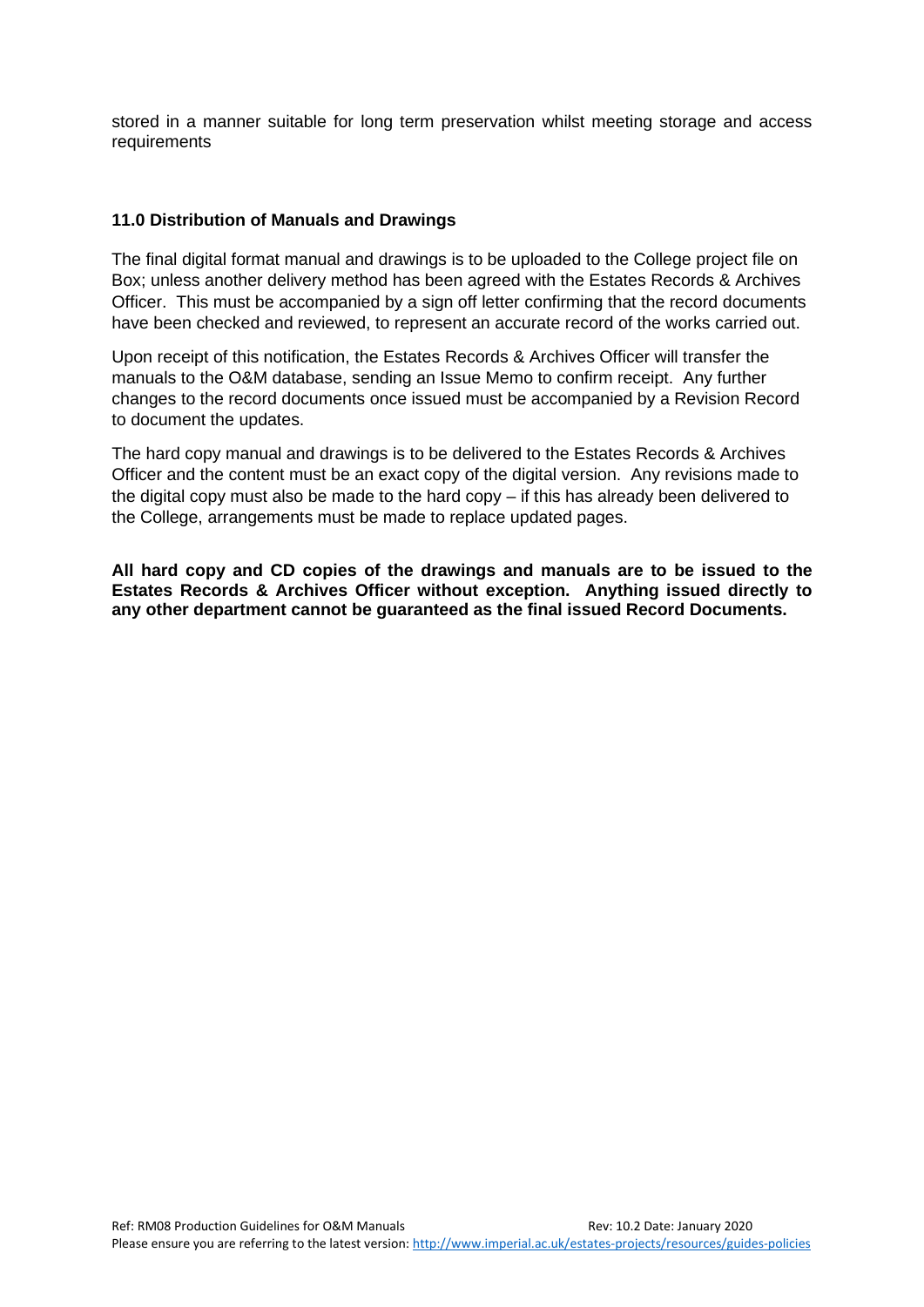stored in a manner suitable for long term preservation whilst meeting storage and access requirements

#### <span id="page-9-0"></span>**11.0 Distribution of Manuals and Drawings**

The final digital format manual and drawings is to be uploaded to the College project file on Box; unless another delivery method has been agreed with the Estates Records & Archives Officer. This must be accompanied by a sign off letter confirming that the record documents have been checked and reviewed, to represent an accurate record of the works carried out.

Upon receipt of this notification, the Estates Records & Archives Officer will transfer the manuals to the O&M database, sending an Issue Memo to confirm receipt. Any further changes to the record documents once issued must be accompanied by a Revision Record to document the updates.

The hard copy manual and drawings is to be delivered to the Estates Records & Archives Officer and the content must be an exact copy of the digital version. Any revisions made to the digital copy must also be made to the hard copy – if this has already been delivered to the College, arrangements must be made to replace updated pages.

**All hard copy and CD copies of the drawings and manuals are to be issued to the Estates Records & Archives Officer without exception. Anything issued directly to any other department cannot be guaranteed as the final issued Record Documents.**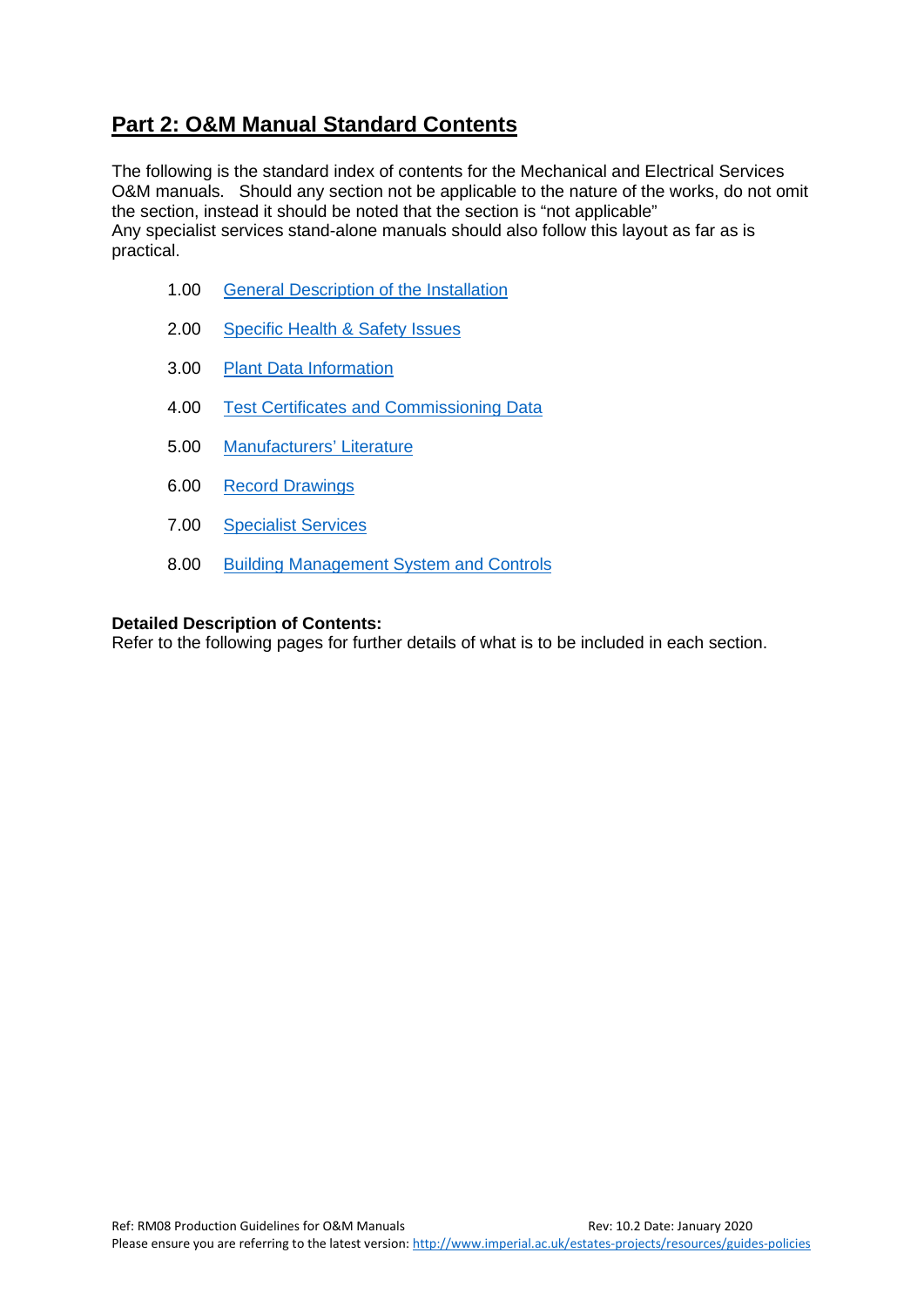## <span id="page-10-0"></span>**Part 2: O&M Manual Standard Contents**

The following is the standard index of contents for the Mechanical and Electrical Services O&M manuals. Should any section not be applicable to the nature of the works, do not omit the section, instead it should be noted that the section is "not applicable" Any specialist services stand-alone manuals should also follow this layout as far as is practical.

- 1.00 [General Description of the Installation](#page-11-0)
- 2.00 [Specific Health & Safety Issues](#page-11-1)
- 3.00 [Plant Data Information](#page-11-2)
- 4.00 [Test Certificates and Commissioning Data](#page-12-0)
- 5.00 [Manufacturers' Literature](#page-12-1)
- 6.00 [Record Drawings](#page-12-2)
- 7.00 [Specialist Services](#page-12-3)
- 8.00 [Building Management System and Controls](#page-12-4)

#### **Detailed Description of Contents:**

Refer to the following pages for further details of what is to be included in each section.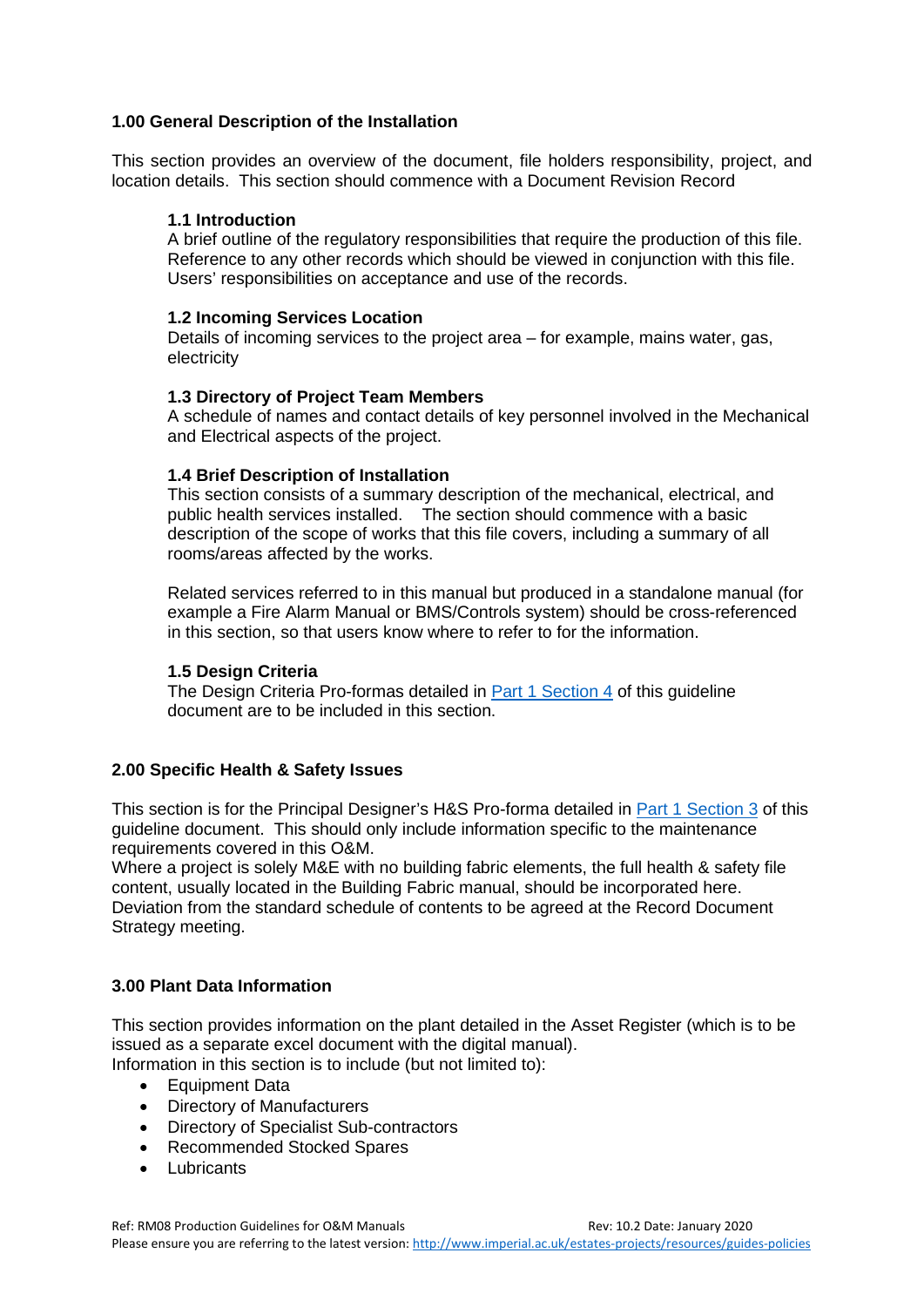#### <span id="page-11-0"></span>**1.00 General Description of the Installation**

This section provides an overview of the document, file holders responsibility, project, and location details. This section should commence with a Document Revision Record

#### **1.1 Introduction**

A brief outline of the regulatory responsibilities that require the production of this file. Reference to any other records which should be viewed in conjunction with this file. Users' responsibilities on acceptance and use of the records.

#### **1.2 Incoming Services Location**

Details of incoming services to the project area – for example, mains water, gas, electricity

#### **1.3 Directory of Project Team Members**

A schedule of names and contact details of key personnel involved in the Mechanical and Electrical aspects of the project.

#### **1.4 Brief Description of Installation**

This section consists of a summary description of the mechanical, electrical, and public health services installed. The section should commence with a basic description of the scope of works that this file covers, including a summary of all rooms/areas affected by the works.

Related services referred to in this manual but produced in a standalone manual (for example a Fire Alarm Manual or BMS/Controls system) should be cross-referenced in this section, so that users know where to refer to for the information.

#### **1.5 Design Criteria**

The Design Criteria Pro-formas detailed in [Part 1 Section 4](#page-5-0) of this guideline document are to be included in this section.

#### <span id="page-11-1"></span>**2.00 Specific Health & Safety Issues**

This section is for the Principal Designer's H&S Pro-forma detailed in [Part 1 Section 3](#page-4-0) of this guideline document. This should only include information specific to the maintenance requirements covered in this O&M.

Where a project is solely M&E with no building fabric elements, the full health & safety file content, usually located in the Building Fabric manual, should be incorporated here. Deviation from the standard schedule of contents to be agreed at the Record Document Strategy meeting.

#### <span id="page-11-2"></span>**3.00 Plant Data Information**

This section provides information on the plant detailed in the Asset Register (which is to be issued as a separate excel document with the digital manual).

Information in this section is to include (but not limited to):

- Equipment Data
- Directory of Manufacturers
- Directory of Specialist Sub-contractors
- Recommended Stocked Spares
- Lubricants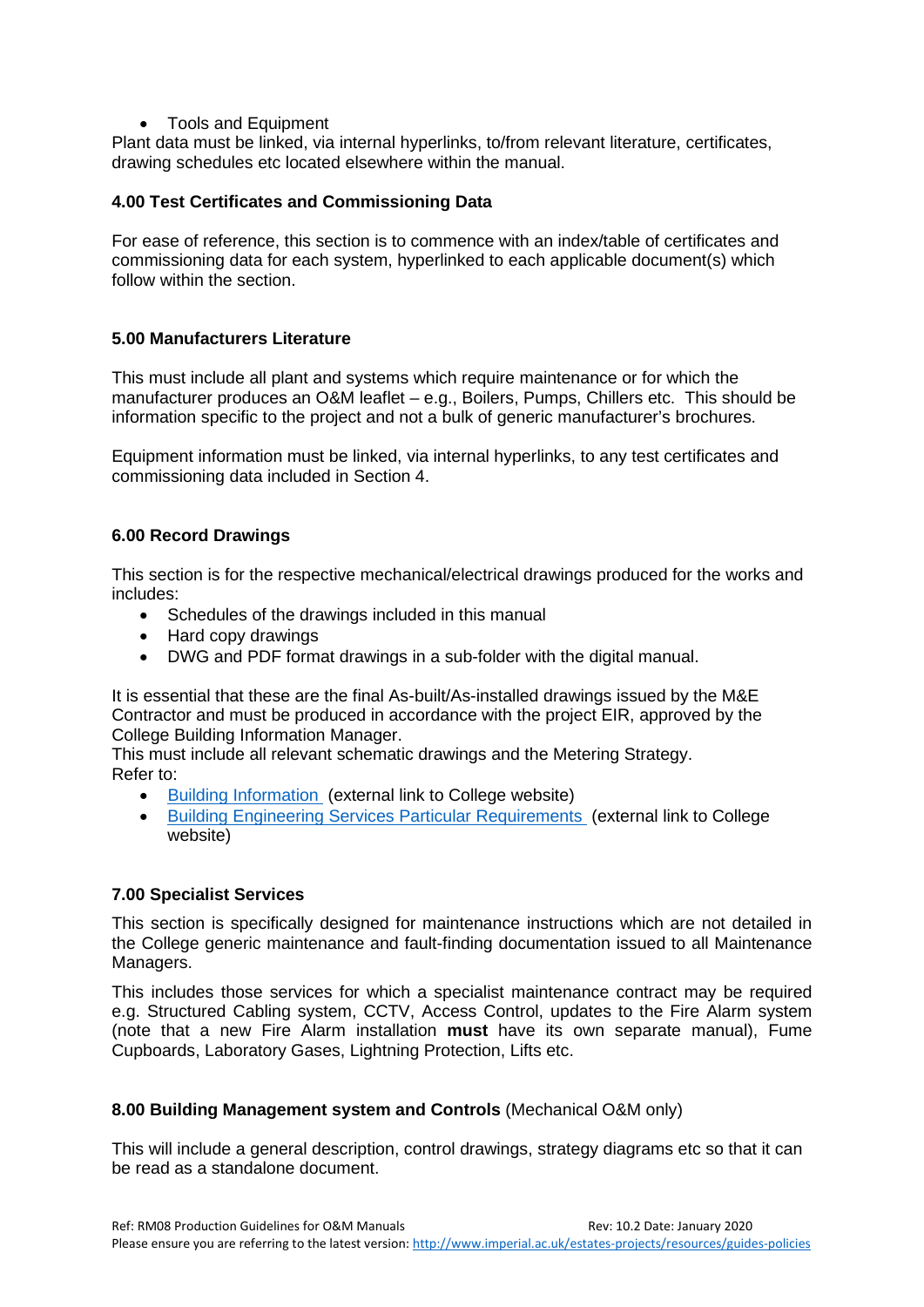• Tools and Equipment

Plant data must be linked, via internal hyperlinks, to/from relevant literature, certificates, drawing schedules etc located elsewhere within the manual.

#### <span id="page-12-0"></span>**4.00 Test Certificates and Commissioning Data**

For ease of reference, this section is to commence with an index/table of certificates and commissioning data for each system, hyperlinked to each applicable document(s) which follow within the section.

#### <span id="page-12-1"></span>**5.00 Manufacturers Literature**

This must include all plant and systems which require maintenance or for which the manufacturer produces an O&M leaflet – e.g., Boilers, Pumps, Chillers etc. This should be information specific to the project and not a bulk of generic manufacturer's brochures.

Equipment information must be linked, via internal hyperlinks, to any test certificates and commissioning data included in Section 4.

#### <span id="page-12-2"></span>**6.00 Record Drawings**

This section is for the respective mechanical/electrical drawings produced for the works and includes:

- Schedules of the drawings included in this manual
- Hard copy drawings
- DWG and PDF format drawings in a sub-folder with the digital manual.

It is essential that these are the final As-built/As-installed drawings issued by the M&E Contractor and must be produced in accordance with the project EIR, approved by the College Building Information Manager.

This must include all relevant schematic drawings and the Metering Strategy. Refer to:

- [Building Information](http://www.imperial.ac.uk/estates-projects/building-information/) (external link to College website)
- Building [Engineering Services Particular Requirements](https://www.imperial.ac.uk/media/imperial-college/administration-and-support-services/estates-projects/public/resources/guides/ep01bespr.pdf) (external link to College website)

#### <span id="page-12-3"></span>**7.00 Specialist Services**

This section is specifically designed for maintenance instructions which are not detailed in the College generic maintenance and fault-finding documentation issued to all Maintenance Managers.

This includes those services for which a specialist maintenance contract may be required e.g. Structured Cabling system, CCTV, Access Control, updates to the Fire Alarm system (note that a new Fire Alarm installation **must** have its own separate manual), Fume Cupboards, Laboratory Gases, Lightning Protection, Lifts etc.

#### <span id="page-12-4"></span>**8.00 Building Management system and Controls** (Mechanical O&M only)

This will include a general description, control drawings, strategy diagrams etc so that it can be read as a standalone document.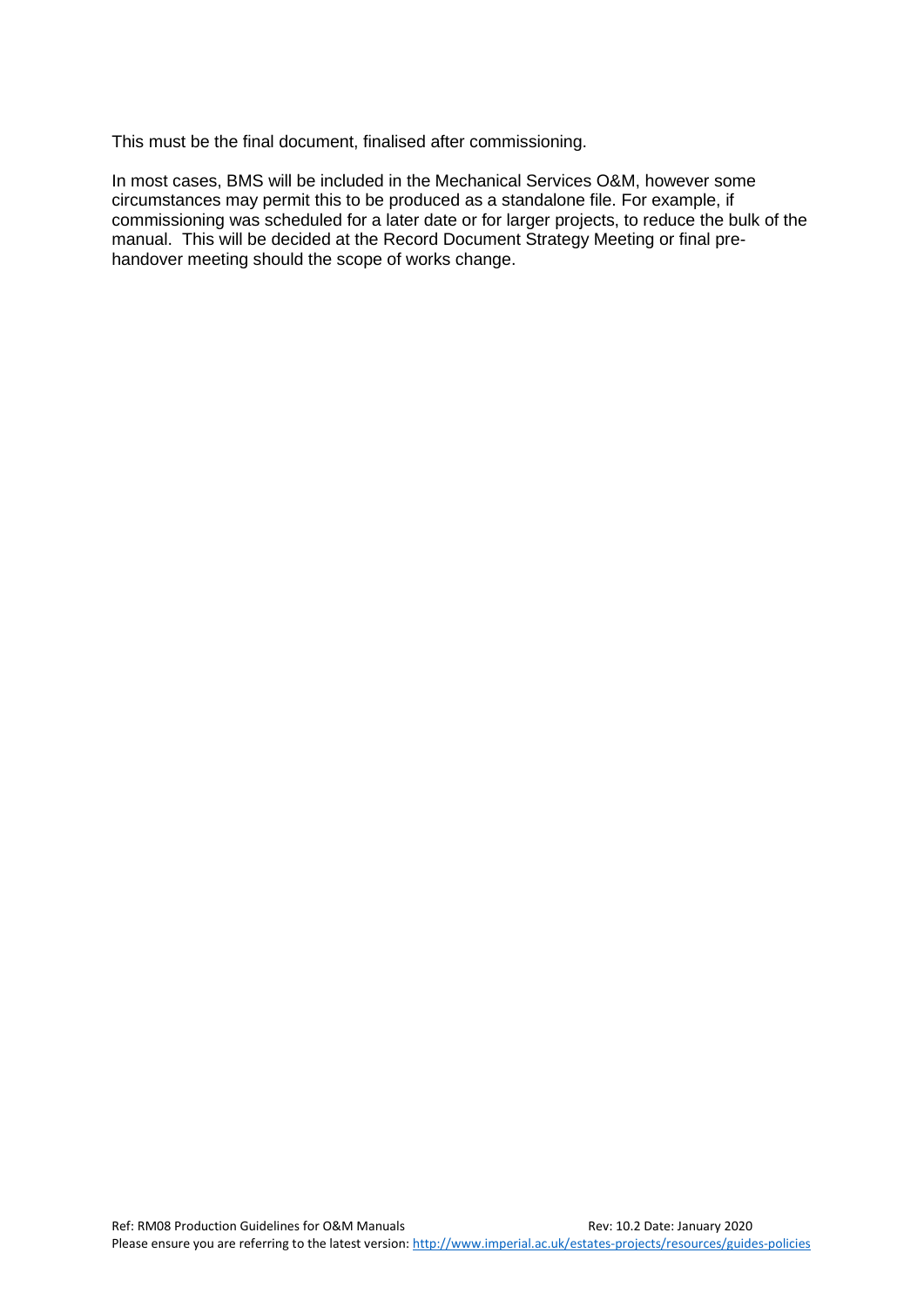This must be the final document, finalised after commissioning.

In most cases, BMS will be included in the Mechanical Services O&M, however some circumstances may permit this to be produced as a standalone file. For example, if commissioning was scheduled for a later date or for larger projects, to reduce the bulk of the manual. This will be decided at the Record Document Strategy Meeting or final prehandover meeting should the scope of works change.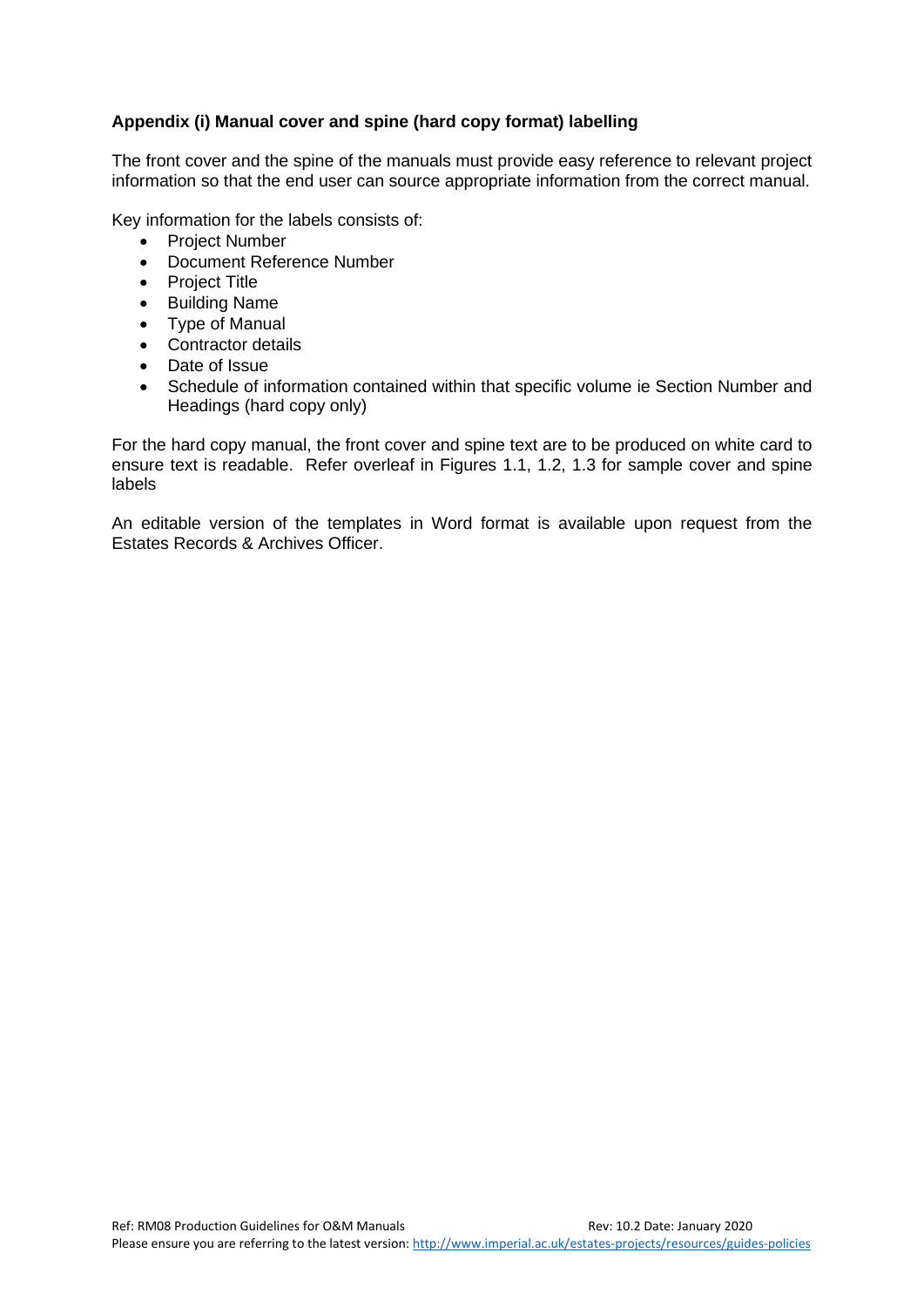#### <span id="page-14-0"></span>**Appendix (i) Manual cover and spine (hard copy format) labelling**

The front cover and the spine of the manuals must provide easy reference to relevant project information so that the end user can source appropriate information from the correct manual.

Key information for the labels consists of:

- Project Number
- Document Reference Number
- Project Title
- Building Name
- Type of Manual
- Contractor details
- Date of Issue
- Schedule of information contained within that specific volume ie Section Number and Headings (hard copy only)

For the hard copy manual, the front cover and spine text are to be produced on white card to ensure text is readable. Refer overleaf in Figures 1.1, 1.2, 1.3 for sample cover and spine labels

An editable version of the templates in Word format is available upon request from the Estates Records & Archives Officer.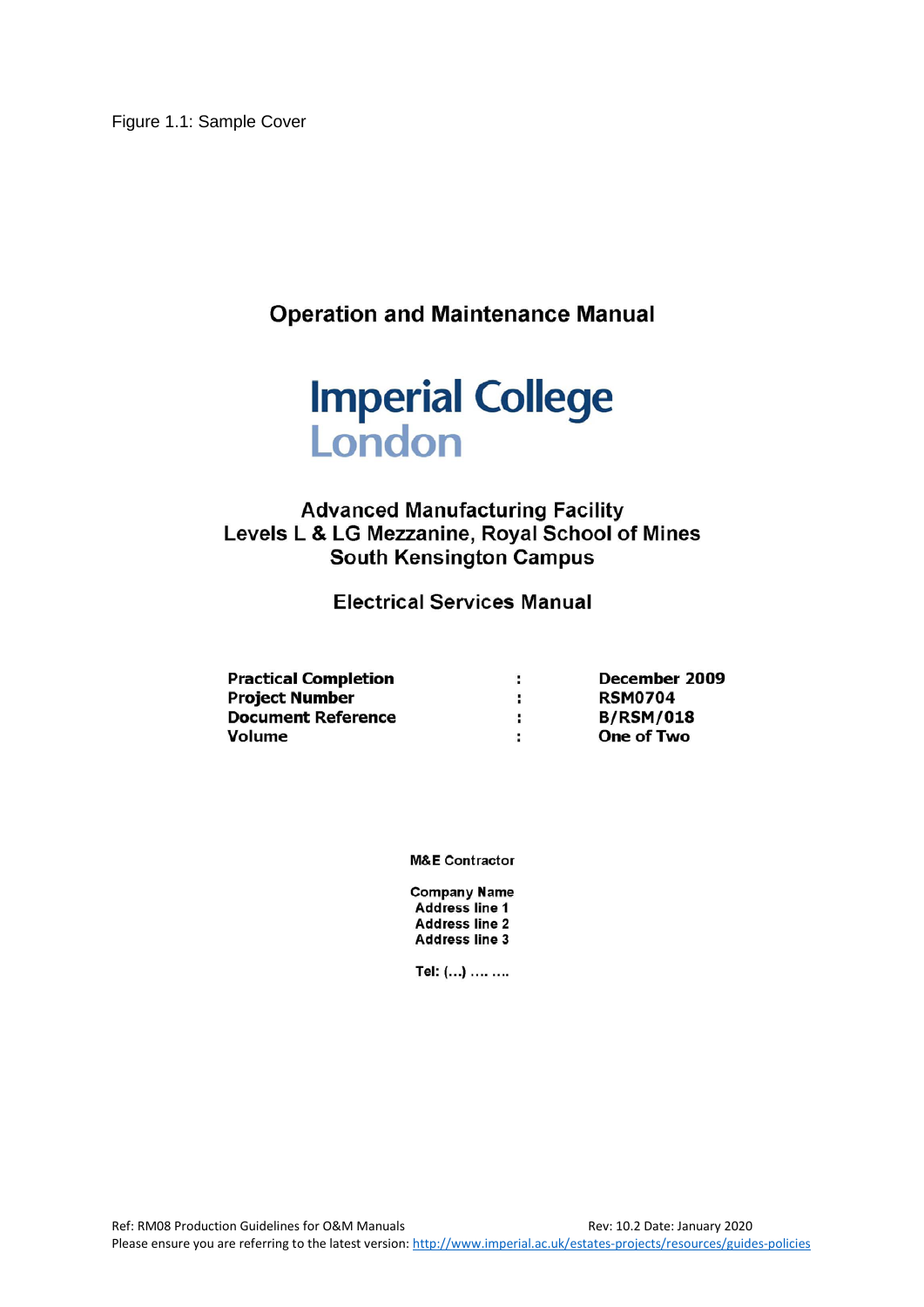Figure 1.1: Sample Cover

**Operation and Maintenance Manual** 



### **Advanced Manufacturing Facility** Levels L & LG Mezzanine, Royal School of Mines **South Kensington Campus**

**Electrical Services Manual** 

| <b>Practical Completion</b> |   | December 2009     |
|-----------------------------|---|-------------------|
| <b>Project Number</b>       |   | <b>RSM0704</b>    |
| <b>Document Reference</b>   | ÷ | <b>B/RSM/018</b>  |
| Volume                      |   | <b>One of Two</b> |

**M&E Contractor** 

**Company Name** Address line 1 **Address line 2 Address line 3** 

Tel: (...) .... ....